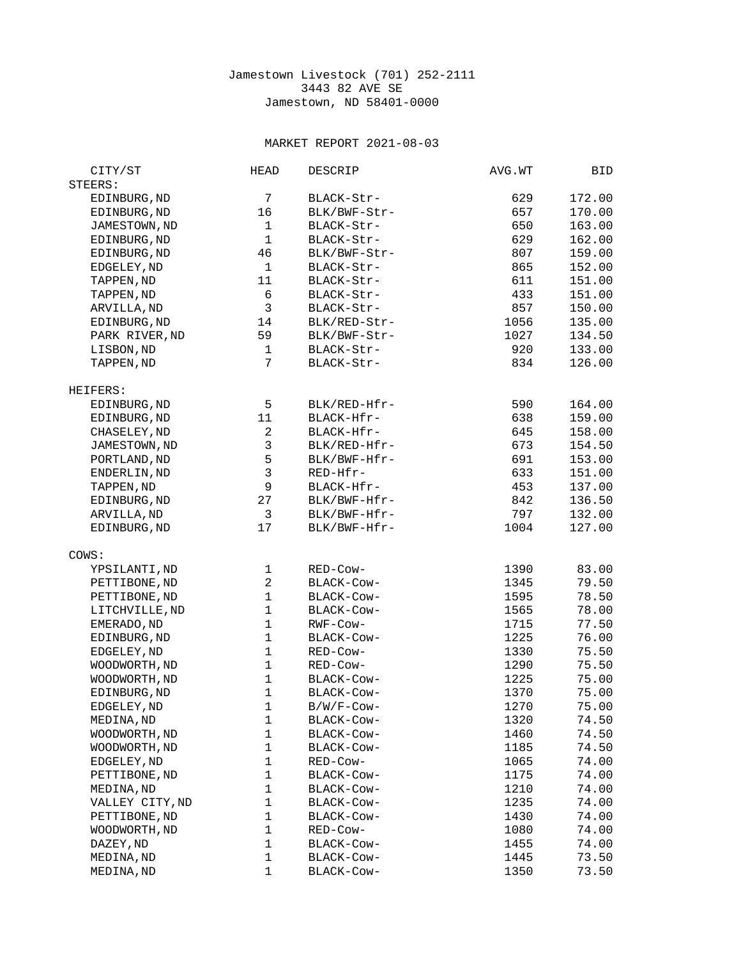## Jamestown Livestock (701) 252-2111 3443 82 AVE SE Jamestown, ND 58401-0000

## MARKET REPORT 2021-08-03

| EDINBURG, ND<br>7<br>BLACK-Str-<br>629<br>172.00<br>EDINBURG, ND<br>16<br>657<br>170.00<br>BLK/BWF-Str-<br>JAMESTOWN, ND<br>1<br>650<br>163.00<br>BLACK-Str-<br>$\mathbf{1}$<br>629<br>EDINBURG, ND<br>BLACK-Str-<br>162.00<br>46<br>807<br>EDINBURG, ND<br>BLK/BWF-Str-<br>159.00<br>$\mathbf{1}$<br>865<br>EDGELEY, ND<br>152.00<br>BLACK-Str-<br>11<br>611<br>TAPPEN, ND<br>151.00<br>BLACK-Str-<br>TAPPEN, ND<br>6<br>433<br>151.00<br>BLACK-Str-<br>3<br>857<br>ARVILLA, ND<br>150.00<br>BLACK-Str-<br>EDINBURG, ND<br>14<br>1056<br>135.00<br>BLK/RED-Str-<br>PARK RIVER, ND<br>59<br>1027<br>134.50<br>BLK/BWF-Str-<br>LISBON, ND<br>1<br>BLACK-Str-<br>920<br>133.00<br>$\overline{7}$<br>834<br>126.00<br>TAPPEN, ND<br>BLACK-Str-<br>5<br>BLK/RED-Hfr-<br>EDINBURG, ND<br>590<br>164.00<br>11<br>638<br>EDINBURG, ND<br>BLACK-Hfr-<br>159.00<br>$\boldsymbol{2}$<br>CHASELEY, ND<br>BLACK-Hfr-<br>645<br>158.00<br>3<br>673<br>JAMESTOWN, ND<br>BLK/RED-Hfr-<br>154.50<br>5<br>691<br>PORTLAND, ND<br>BLK/BWF-Hfr-<br>153.00<br>3<br>633<br>ENDERLIN, ND<br>RED-Hfr-<br>151.00<br>9<br>453<br>TAPPEN, ND<br>BLACK-Hfr-<br>137.00<br>27<br>EDINBURG, ND<br>BLK/BWF-Hfr-<br>842<br>136.50<br>3<br>797<br>ARVILLA, ND<br>BLK/BWF-Hfr-<br>132.00<br>17<br>EDINBURG, ND<br>BLK/BWF-Hfr-<br>1004<br>127.00<br>YPSILANTI, ND<br>1<br>RED-Cow-<br>1390<br>83.00<br>$\overline{c}$<br>79.50<br>PETTIBONE, ND<br>BLACK-COW-<br>1345<br>$\mathbf{1}$<br>PETTIBONE, ND<br>BLACK-Cow-<br>1595<br>78.50<br>$\mathbf{1}$<br>LITCHVILLE, ND<br>1565<br>78.00<br>BLACK-COW-<br>$\mathbf{1}$<br>1715<br>77.50<br>EMERADO, ND<br>RWF-Cow-<br>$\mathbf{1}$<br>EDINBURG, ND<br>1225<br>76.00<br>BLACK-COW-<br>$\mathbf{1}$<br>EDGELEY, ND<br>RED-Cow-<br>1330<br>75.50<br>WOODWORTH, ND<br>$\mathbf{1}$<br>RED-Cow-<br>1290<br>75.50<br>$\mathbf{1}$<br>WOODWORTH, ND<br>BLACK-Cow-<br>1225<br>75.00<br>$\mathbf{1}$<br>1370<br>75.00<br>EDINBURG, ND<br>BLACK-COW-<br>1<br>1270<br>75.00<br>EDGELEY, ND<br>B/W/F-Cow-<br>MEDINA, ND<br>BLACK-Cow-<br>74.50<br>1<br>1320<br>1<br>WOODWORTH, ND<br>BLACK-Cow-<br>1460<br>74.50<br>1<br>WOODWORTH, ND<br>BLACK-Cow-<br>1185<br>74.50<br>1<br>EDGELEY, ND<br>RED-Cow-<br>1065<br>74.00<br>$\mathbf 1$<br>1175<br>PETTIBONE, ND<br>BLACK-Cow-<br>74.00<br>1<br>1210<br>MEDINA, ND<br>BLACK-COW-<br>74.00<br>VALLEY CITY, ND<br>1<br>BLACK-Cow-<br>1235<br>74.00<br>PETTIBONE, ND<br>1<br>BLACK-Cow-<br>1430<br>74.00<br>WOODWORTH, ND<br>1<br>74.00<br>RED-Cow-<br>1080<br>1<br>DAZEY, ND<br>74.00<br>BLACK-Cow-<br>1455<br>1<br>MEDINA, ND<br>BLACK-Cow-<br>73.50<br>1445<br>1<br>MEDINA, ND<br>BLACK-Cow-<br>1350<br>73.50 | CITY/ST  | <b>HEAD</b> | <b>DESCRIP</b> | AVG.WT | BID |
|---------------------------------------------------------------------------------------------------------------------------------------------------------------------------------------------------------------------------------------------------------------------------------------------------------------------------------------------------------------------------------------------------------------------------------------------------------------------------------------------------------------------------------------------------------------------------------------------------------------------------------------------------------------------------------------------------------------------------------------------------------------------------------------------------------------------------------------------------------------------------------------------------------------------------------------------------------------------------------------------------------------------------------------------------------------------------------------------------------------------------------------------------------------------------------------------------------------------------------------------------------------------------------------------------------------------------------------------------------------------------------------------------------------------------------------------------------------------------------------------------------------------------------------------------------------------------------------------------------------------------------------------------------------------------------------------------------------------------------------------------------------------------------------------------------------------------------------------------------------------------------------------------------------------------------------------------------------------------------------------------------------------------------------------------------------------------------------------------------------------------------------------------------------------------------------------------------------------------------------------------------------------------------------------------------------------------------------------------------------------------------------------------------------------------------------------------------------------------------------------------------------------------------------------------------------------------------------------------------------------------------------------------------------|----------|-------------|----------------|--------|-----|
|                                                                                                                                                                                                                                                                                                                                                                                                                                                                                                                                                                                                                                                                                                                                                                                                                                                                                                                                                                                                                                                                                                                                                                                                                                                                                                                                                                                                                                                                                                                                                                                                                                                                                                                                                                                                                                                                                                                                                                                                                                                                                                                                                                                                                                                                                                                                                                                                                                                                                                                                                                                                                                                               | STEERS:  |             |                |        |     |
|                                                                                                                                                                                                                                                                                                                                                                                                                                                                                                                                                                                                                                                                                                                                                                                                                                                                                                                                                                                                                                                                                                                                                                                                                                                                                                                                                                                                                                                                                                                                                                                                                                                                                                                                                                                                                                                                                                                                                                                                                                                                                                                                                                                                                                                                                                                                                                                                                                                                                                                                                                                                                                                               |          |             |                |        |     |
|                                                                                                                                                                                                                                                                                                                                                                                                                                                                                                                                                                                                                                                                                                                                                                                                                                                                                                                                                                                                                                                                                                                                                                                                                                                                                                                                                                                                                                                                                                                                                                                                                                                                                                                                                                                                                                                                                                                                                                                                                                                                                                                                                                                                                                                                                                                                                                                                                                                                                                                                                                                                                                                               |          |             |                |        |     |
|                                                                                                                                                                                                                                                                                                                                                                                                                                                                                                                                                                                                                                                                                                                                                                                                                                                                                                                                                                                                                                                                                                                                                                                                                                                                                                                                                                                                                                                                                                                                                                                                                                                                                                                                                                                                                                                                                                                                                                                                                                                                                                                                                                                                                                                                                                                                                                                                                                                                                                                                                                                                                                                               |          |             |                |        |     |
|                                                                                                                                                                                                                                                                                                                                                                                                                                                                                                                                                                                                                                                                                                                                                                                                                                                                                                                                                                                                                                                                                                                                                                                                                                                                                                                                                                                                                                                                                                                                                                                                                                                                                                                                                                                                                                                                                                                                                                                                                                                                                                                                                                                                                                                                                                                                                                                                                                                                                                                                                                                                                                                               |          |             |                |        |     |
|                                                                                                                                                                                                                                                                                                                                                                                                                                                                                                                                                                                                                                                                                                                                                                                                                                                                                                                                                                                                                                                                                                                                                                                                                                                                                                                                                                                                                                                                                                                                                                                                                                                                                                                                                                                                                                                                                                                                                                                                                                                                                                                                                                                                                                                                                                                                                                                                                                                                                                                                                                                                                                                               |          |             |                |        |     |
|                                                                                                                                                                                                                                                                                                                                                                                                                                                                                                                                                                                                                                                                                                                                                                                                                                                                                                                                                                                                                                                                                                                                                                                                                                                                                                                                                                                                                                                                                                                                                                                                                                                                                                                                                                                                                                                                                                                                                                                                                                                                                                                                                                                                                                                                                                                                                                                                                                                                                                                                                                                                                                                               |          |             |                |        |     |
|                                                                                                                                                                                                                                                                                                                                                                                                                                                                                                                                                                                                                                                                                                                                                                                                                                                                                                                                                                                                                                                                                                                                                                                                                                                                                                                                                                                                                                                                                                                                                                                                                                                                                                                                                                                                                                                                                                                                                                                                                                                                                                                                                                                                                                                                                                                                                                                                                                                                                                                                                                                                                                                               |          |             |                |        |     |
|                                                                                                                                                                                                                                                                                                                                                                                                                                                                                                                                                                                                                                                                                                                                                                                                                                                                                                                                                                                                                                                                                                                                                                                                                                                                                                                                                                                                                                                                                                                                                                                                                                                                                                                                                                                                                                                                                                                                                                                                                                                                                                                                                                                                                                                                                                                                                                                                                                                                                                                                                                                                                                                               |          |             |                |        |     |
|                                                                                                                                                                                                                                                                                                                                                                                                                                                                                                                                                                                                                                                                                                                                                                                                                                                                                                                                                                                                                                                                                                                                                                                                                                                                                                                                                                                                                                                                                                                                                                                                                                                                                                                                                                                                                                                                                                                                                                                                                                                                                                                                                                                                                                                                                                                                                                                                                                                                                                                                                                                                                                                               |          |             |                |        |     |
|                                                                                                                                                                                                                                                                                                                                                                                                                                                                                                                                                                                                                                                                                                                                                                                                                                                                                                                                                                                                                                                                                                                                                                                                                                                                                                                                                                                                                                                                                                                                                                                                                                                                                                                                                                                                                                                                                                                                                                                                                                                                                                                                                                                                                                                                                                                                                                                                                                                                                                                                                                                                                                                               |          |             |                |        |     |
|                                                                                                                                                                                                                                                                                                                                                                                                                                                                                                                                                                                                                                                                                                                                                                                                                                                                                                                                                                                                                                                                                                                                                                                                                                                                                                                                                                                                                                                                                                                                                                                                                                                                                                                                                                                                                                                                                                                                                                                                                                                                                                                                                                                                                                                                                                                                                                                                                                                                                                                                                                                                                                                               |          |             |                |        |     |
|                                                                                                                                                                                                                                                                                                                                                                                                                                                                                                                                                                                                                                                                                                                                                                                                                                                                                                                                                                                                                                                                                                                                                                                                                                                                                                                                                                                                                                                                                                                                                                                                                                                                                                                                                                                                                                                                                                                                                                                                                                                                                                                                                                                                                                                                                                                                                                                                                                                                                                                                                                                                                                                               |          |             |                |        |     |
|                                                                                                                                                                                                                                                                                                                                                                                                                                                                                                                                                                                                                                                                                                                                                                                                                                                                                                                                                                                                                                                                                                                                                                                                                                                                                                                                                                                                                                                                                                                                                                                                                                                                                                                                                                                                                                                                                                                                                                                                                                                                                                                                                                                                                                                                                                                                                                                                                                                                                                                                                                                                                                                               |          |             |                |        |     |
|                                                                                                                                                                                                                                                                                                                                                                                                                                                                                                                                                                                                                                                                                                                                                                                                                                                                                                                                                                                                                                                                                                                                                                                                                                                                                                                                                                                                                                                                                                                                                                                                                                                                                                                                                                                                                                                                                                                                                                                                                                                                                                                                                                                                                                                                                                                                                                                                                                                                                                                                                                                                                                                               |          |             |                |        |     |
|                                                                                                                                                                                                                                                                                                                                                                                                                                                                                                                                                                                                                                                                                                                                                                                                                                                                                                                                                                                                                                                                                                                                                                                                                                                                                                                                                                                                                                                                                                                                                                                                                                                                                                                                                                                                                                                                                                                                                                                                                                                                                                                                                                                                                                                                                                                                                                                                                                                                                                                                                                                                                                                               | HEIFERS: |             |                |        |     |
|                                                                                                                                                                                                                                                                                                                                                                                                                                                                                                                                                                                                                                                                                                                                                                                                                                                                                                                                                                                                                                                                                                                                                                                                                                                                                                                                                                                                                                                                                                                                                                                                                                                                                                                                                                                                                                                                                                                                                                                                                                                                                                                                                                                                                                                                                                                                                                                                                                                                                                                                                                                                                                                               |          |             |                |        |     |
|                                                                                                                                                                                                                                                                                                                                                                                                                                                                                                                                                                                                                                                                                                                                                                                                                                                                                                                                                                                                                                                                                                                                                                                                                                                                                                                                                                                                                                                                                                                                                                                                                                                                                                                                                                                                                                                                                                                                                                                                                                                                                                                                                                                                                                                                                                                                                                                                                                                                                                                                                                                                                                                               |          |             |                |        |     |
|                                                                                                                                                                                                                                                                                                                                                                                                                                                                                                                                                                                                                                                                                                                                                                                                                                                                                                                                                                                                                                                                                                                                                                                                                                                                                                                                                                                                                                                                                                                                                                                                                                                                                                                                                                                                                                                                                                                                                                                                                                                                                                                                                                                                                                                                                                                                                                                                                                                                                                                                                                                                                                                               |          |             |                |        |     |
|                                                                                                                                                                                                                                                                                                                                                                                                                                                                                                                                                                                                                                                                                                                                                                                                                                                                                                                                                                                                                                                                                                                                                                                                                                                                                                                                                                                                                                                                                                                                                                                                                                                                                                                                                                                                                                                                                                                                                                                                                                                                                                                                                                                                                                                                                                                                                                                                                                                                                                                                                                                                                                                               |          |             |                |        |     |
|                                                                                                                                                                                                                                                                                                                                                                                                                                                                                                                                                                                                                                                                                                                                                                                                                                                                                                                                                                                                                                                                                                                                                                                                                                                                                                                                                                                                                                                                                                                                                                                                                                                                                                                                                                                                                                                                                                                                                                                                                                                                                                                                                                                                                                                                                                                                                                                                                                                                                                                                                                                                                                                               |          |             |                |        |     |
|                                                                                                                                                                                                                                                                                                                                                                                                                                                                                                                                                                                                                                                                                                                                                                                                                                                                                                                                                                                                                                                                                                                                                                                                                                                                                                                                                                                                                                                                                                                                                                                                                                                                                                                                                                                                                                                                                                                                                                                                                                                                                                                                                                                                                                                                                                                                                                                                                                                                                                                                                                                                                                                               |          |             |                |        |     |
|                                                                                                                                                                                                                                                                                                                                                                                                                                                                                                                                                                                                                                                                                                                                                                                                                                                                                                                                                                                                                                                                                                                                                                                                                                                                                                                                                                                                                                                                                                                                                                                                                                                                                                                                                                                                                                                                                                                                                                                                                                                                                                                                                                                                                                                                                                                                                                                                                                                                                                                                                                                                                                                               |          |             |                |        |     |
|                                                                                                                                                                                                                                                                                                                                                                                                                                                                                                                                                                                                                                                                                                                                                                                                                                                                                                                                                                                                                                                                                                                                                                                                                                                                                                                                                                                                                                                                                                                                                                                                                                                                                                                                                                                                                                                                                                                                                                                                                                                                                                                                                                                                                                                                                                                                                                                                                                                                                                                                                                                                                                                               |          |             |                |        |     |
|                                                                                                                                                                                                                                                                                                                                                                                                                                                                                                                                                                                                                                                                                                                                                                                                                                                                                                                                                                                                                                                                                                                                                                                                                                                                                                                                                                                                                                                                                                                                                                                                                                                                                                                                                                                                                                                                                                                                                                                                                                                                                                                                                                                                                                                                                                                                                                                                                                                                                                                                                                                                                                                               |          |             |                |        |     |
|                                                                                                                                                                                                                                                                                                                                                                                                                                                                                                                                                                                                                                                                                                                                                                                                                                                                                                                                                                                                                                                                                                                                                                                                                                                                                                                                                                                                                                                                                                                                                                                                                                                                                                                                                                                                                                                                                                                                                                                                                                                                                                                                                                                                                                                                                                                                                                                                                                                                                                                                                                                                                                                               |          |             |                |        |     |
|                                                                                                                                                                                                                                                                                                                                                                                                                                                                                                                                                                                                                                                                                                                                                                                                                                                                                                                                                                                                                                                                                                                                                                                                                                                                                                                                                                                                                                                                                                                                                                                                                                                                                                                                                                                                                                                                                                                                                                                                                                                                                                                                                                                                                                                                                                                                                                                                                                                                                                                                                                                                                                                               |          |             |                |        |     |
|                                                                                                                                                                                                                                                                                                                                                                                                                                                                                                                                                                                                                                                                                                                                                                                                                                                                                                                                                                                                                                                                                                                                                                                                                                                                                                                                                                                                                                                                                                                                                                                                                                                                                                                                                                                                                                                                                                                                                                                                                                                                                                                                                                                                                                                                                                                                                                                                                                                                                                                                                                                                                                                               | COWS:    |             |                |        |     |
|                                                                                                                                                                                                                                                                                                                                                                                                                                                                                                                                                                                                                                                                                                                                                                                                                                                                                                                                                                                                                                                                                                                                                                                                                                                                                                                                                                                                                                                                                                                                                                                                                                                                                                                                                                                                                                                                                                                                                                                                                                                                                                                                                                                                                                                                                                                                                                                                                                                                                                                                                                                                                                                               |          |             |                |        |     |
|                                                                                                                                                                                                                                                                                                                                                                                                                                                                                                                                                                                                                                                                                                                                                                                                                                                                                                                                                                                                                                                                                                                                                                                                                                                                                                                                                                                                                                                                                                                                                                                                                                                                                                                                                                                                                                                                                                                                                                                                                                                                                                                                                                                                                                                                                                                                                                                                                                                                                                                                                                                                                                                               |          |             |                |        |     |
|                                                                                                                                                                                                                                                                                                                                                                                                                                                                                                                                                                                                                                                                                                                                                                                                                                                                                                                                                                                                                                                                                                                                                                                                                                                                                                                                                                                                                                                                                                                                                                                                                                                                                                                                                                                                                                                                                                                                                                                                                                                                                                                                                                                                                                                                                                                                                                                                                                                                                                                                                                                                                                                               |          |             |                |        |     |
|                                                                                                                                                                                                                                                                                                                                                                                                                                                                                                                                                                                                                                                                                                                                                                                                                                                                                                                                                                                                                                                                                                                                                                                                                                                                                                                                                                                                                                                                                                                                                                                                                                                                                                                                                                                                                                                                                                                                                                                                                                                                                                                                                                                                                                                                                                                                                                                                                                                                                                                                                                                                                                                               |          |             |                |        |     |
|                                                                                                                                                                                                                                                                                                                                                                                                                                                                                                                                                                                                                                                                                                                                                                                                                                                                                                                                                                                                                                                                                                                                                                                                                                                                                                                                                                                                                                                                                                                                                                                                                                                                                                                                                                                                                                                                                                                                                                                                                                                                                                                                                                                                                                                                                                                                                                                                                                                                                                                                                                                                                                                               |          |             |                |        |     |
|                                                                                                                                                                                                                                                                                                                                                                                                                                                                                                                                                                                                                                                                                                                                                                                                                                                                                                                                                                                                                                                                                                                                                                                                                                                                                                                                                                                                                                                                                                                                                                                                                                                                                                                                                                                                                                                                                                                                                                                                                                                                                                                                                                                                                                                                                                                                                                                                                                                                                                                                                                                                                                                               |          |             |                |        |     |
|                                                                                                                                                                                                                                                                                                                                                                                                                                                                                                                                                                                                                                                                                                                                                                                                                                                                                                                                                                                                                                                                                                                                                                                                                                                                                                                                                                                                                                                                                                                                                                                                                                                                                                                                                                                                                                                                                                                                                                                                                                                                                                                                                                                                                                                                                                                                                                                                                                                                                                                                                                                                                                                               |          |             |                |        |     |
|                                                                                                                                                                                                                                                                                                                                                                                                                                                                                                                                                                                                                                                                                                                                                                                                                                                                                                                                                                                                                                                                                                                                                                                                                                                                                                                                                                                                                                                                                                                                                                                                                                                                                                                                                                                                                                                                                                                                                                                                                                                                                                                                                                                                                                                                                                                                                                                                                                                                                                                                                                                                                                                               |          |             |                |        |     |
|                                                                                                                                                                                                                                                                                                                                                                                                                                                                                                                                                                                                                                                                                                                                                                                                                                                                                                                                                                                                                                                                                                                                                                                                                                                                                                                                                                                                                                                                                                                                                                                                                                                                                                                                                                                                                                                                                                                                                                                                                                                                                                                                                                                                                                                                                                                                                                                                                                                                                                                                                                                                                                                               |          |             |                |        |     |
|                                                                                                                                                                                                                                                                                                                                                                                                                                                                                                                                                                                                                                                                                                                                                                                                                                                                                                                                                                                                                                                                                                                                                                                                                                                                                                                                                                                                                                                                                                                                                                                                                                                                                                                                                                                                                                                                                                                                                                                                                                                                                                                                                                                                                                                                                                                                                                                                                                                                                                                                                                                                                                                               |          |             |                |        |     |
|                                                                                                                                                                                                                                                                                                                                                                                                                                                                                                                                                                                                                                                                                                                                                                                                                                                                                                                                                                                                                                                                                                                                                                                                                                                                                                                                                                                                                                                                                                                                                                                                                                                                                                                                                                                                                                                                                                                                                                                                                                                                                                                                                                                                                                                                                                                                                                                                                                                                                                                                                                                                                                                               |          |             |                |        |     |
|                                                                                                                                                                                                                                                                                                                                                                                                                                                                                                                                                                                                                                                                                                                                                                                                                                                                                                                                                                                                                                                                                                                                                                                                                                                                                                                                                                                                                                                                                                                                                                                                                                                                                                                                                                                                                                                                                                                                                                                                                                                                                                                                                                                                                                                                                                                                                                                                                                                                                                                                                                                                                                                               |          |             |                |        |     |
|                                                                                                                                                                                                                                                                                                                                                                                                                                                                                                                                                                                                                                                                                                                                                                                                                                                                                                                                                                                                                                                                                                                                                                                                                                                                                                                                                                                                                                                                                                                                                                                                                                                                                                                                                                                                                                                                                                                                                                                                                                                                                                                                                                                                                                                                                                                                                                                                                                                                                                                                                                                                                                                               |          |             |                |        |     |
|                                                                                                                                                                                                                                                                                                                                                                                                                                                                                                                                                                                                                                                                                                                                                                                                                                                                                                                                                                                                                                                                                                                                                                                                                                                                                                                                                                                                                                                                                                                                                                                                                                                                                                                                                                                                                                                                                                                                                                                                                                                                                                                                                                                                                                                                                                                                                                                                                                                                                                                                                                                                                                                               |          |             |                |        |     |
|                                                                                                                                                                                                                                                                                                                                                                                                                                                                                                                                                                                                                                                                                                                                                                                                                                                                                                                                                                                                                                                                                                                                                                                                                                                                                                                                                                                                                                                                                                                                                                                                                                                                                                                                                                                                                                                                                                                                                                                                                                                                                                                                                                                                                                                                                                                                                                                                                                                                                                                                                                                                                                                               |          |             |                |        |     |
|                                                                                                                                                                                                                                                                                                                                                                                                                                                                                                                                                                                                                                                                                                                                                                                                                                                                                                                                                                                                                                                                                                                                                                                                                                                                                                                                                                                                                                                                                                                                                                                                                                                                                                                                                                                                                                                                                                                                                                                                                                                                                                                                                                                                                                                                                                                                                                                                                                                                                                                                                                                                                                                               |          |             |                |        |     |
|                                                                                                                                                                                                                                                                                                                                                                                                                                                                                                                                                                                                                                                                                                                                                                                                                                                                                                                                                                                                                                                                                                                                                                                                                                                                                                                                                                                                                                                                                                                                                                                                                                                                                                                                                                                                                                                                                                                                                                                                                                                                                                                                                                                                                                                                                                                                                                                                                                                                                                                                                                                                                                                               |          |             |                |        |     |
|                                                                                                                                                                                                                                                                                                                                                                                                                                                                                                                                                                                                                                                                                                                                                                                                                                                                                                                                                                                                                                                                                                                                                                                                                                                                                                                                                                                                                                                                                                                                                                                                                                                                                                                                                                                                                                                                                                                                                                                                                                                                                                                                                                                                                                                                                                                                                                                                                                                                                                                                                                                                                                                               |          |             |                |        |     |
|                                                                                                                                                                                                                                                                                                                                                                                                                                                                                                                                                                                                                                                                                                                                                                                                                                                                                                                                                                                                                                                                                                                                                                                                                                                                                                                                                                                                                                                                                                                                                                                                                                                                                                                                                                                                                                                                                                                                                                                                                                                                                                                                                                                                                                                                                                                                                                                                                                                                                                                                                                                                                                                               |          |             |                |        |     |
|                                                                                                                                                                                                                                                                                                                                                                                                                                                                                                                                                                                                                                                                                                                                                                                                                                                                                                                                                                                                                                                                                                                                                                                                                                                                                                                                                                                                                                                                                                                                                                                                                                                                                                                                                                                                                                                                                                                                                                                                                                                                                                                                                                                                                                                                                                                                                                                                                                                                                                                                                                                                                                                               |          |             |                |        |     |
|                                                                                                                                                                                                                                                                                                                                                                                                                                                                                                                                                                                                                                                                                                                                                                                                                                                                                                                                                                                                                                                                                                                                                                                                                                                                                                                                                                                                                                                                                                                                                                                                                                                                                                                                                                                                                                                                                                                                                                                                                                                                                                                                                                                                                                                                                                                                                                                                                                                                                                                                                                                                                                                               |          |             |                |        |     |
|                                                                                                                                                                                                                                                                                                                                                                                                                                                                                                                                                                                                                                                                                                                                                                                                                                                                                                                                                                                                                                                                                                                                                                                                                                                                                                                                                                                                                                                                                                                                                                                                                                                                                                                                                                                                                                                                                                                                                                                                                                                                                                                                                                                                                                                                                                                                                                                                                                                                                                                                                                                                                                                               |          |             |                |        |     |
|                                                                                                                                                                                                                                                                                                                                                                                                                                                                                                                                                                                                                                                                                                                                                                                                                                                                                                                                                                                                                                                                                                                                                                                                                                                                                                                                                                                                                                                                                                                                                                                                                                                                                                                                                                                                                                                                                                                                                                                                                                                                                                                                                                                                                                                                                                                                                                                                                                                                                                                                                                                                                                                               |          |             |                |        |     |
|                                                                                                                                                                                                                                                                                                                                                                                                                                                                                                                                                                                                                                                                                                                                                                                                                                                                                                                                                                                                                                                                                                                                                                                                                                                                                                                                                                                                                                                                                                                                                                                                                                                                                                                                                                                                                                                                                                                                                                                                                                                                                                                                                                                                                                                                                                                                                                                                                                                                                                                                                                                                                                                               |          |             |                |        |     |